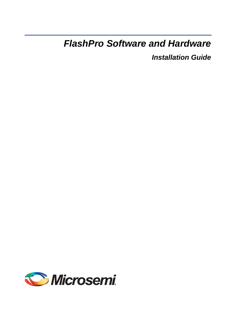# *FlashPro Software and Hardware*

*Installation Guide*

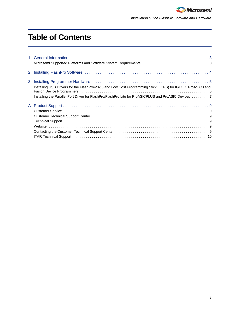

*Installation Guide FlashPro Software and Hardware*

# **Table of Contents**

| 3 | Installing USB Drivers for the FlashPro4/3x/3 and Low Cost Programming Stick (LCPS) for IGLOO, ProASIC3 and<br>Installing the Parallel Port Driver for FlashPro/FlashPro Lite for ProASICPLUS and ProASIC Devices  7           |
|---|--------------------------------------------------------------------------------------------------------------------------------------------------------------------------------------------------------------------------------|
|   | Technical Support (and according to the control of the control of the control of the control of the control of the control of the control of the control of the control of the control of the control of the control of the co |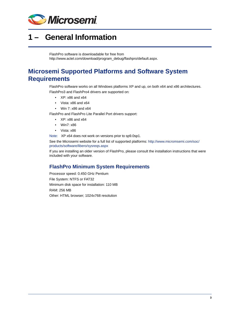

# <span id="page-2-0"></span>**1 – General Information**

FlashPro software is downloadable for free from [http://www.actel.com/download/program\\_debug/flashpro/default.aspx.](http://www.actel.com/download/program_debug/flashpro/default.aspx) 

### <span id="page-2-1"></span>**Microsemi Supported Platforms and Software System Requirements**

FlashPro software works on all Windows platforms XP and up, on both x64 and x86 architectures. FlashPro3 and FlashPro4 drivers are supported on:

- XP: x86 and x64
- Vista: x86 and x64
- Win 7: x86 and x64

FlashPro and FlashPro Lite Parallel Port drivers support:

- XP: x86 and x64
- Win7: x86
- Vista: x86

Note: XP x64 does not work on versions prior to sp9.0sp1.

See the Microsemi website for a full list of supported platforms: [http://www.micromsemi.com/soc/](http://www.actel.com/products/software/libero/sysreqs.aspx) [products/software/libero/sysreqs.aspx](http://www.actel.com/products/software/libero/sysreqs.aspx)

If you are installing an older version of FlashPro, please consult the installation instructions that were included with your software.

### **FlashPro Minimum System Requirements**

Processor speed: 0.450 GHz Pentium File System: NTFS or FAT32 Minimum disk space for installation: 110 MB RAM: 256 MB Other: HTML browser; 1024x768 resolution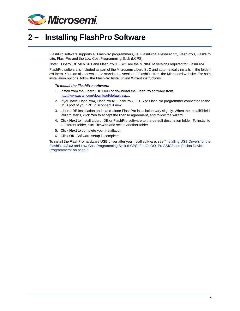

# <span id="page-3-0"></span>**2 – Installing FlashPro Software**

FlashPro software supports all FlashPro programmers, i.e. FlashPro4, FlashPro 3x, FlashPro3, FlashPro Lite, FlashPro and the Low Cost Programming Stick (LCPS).

Note: Libero IDE v8.6 SP1 and FlashPro 8.6 SP1 are the MINIMUM versions required for FlashPro4.

FlashPro software is included as part of the Microsemi Libero SoC and automatically installs in the folder: c:\Libero. You can also download a standalone version of FlashPro from the Microsemi website. For both installation options, follow the FlashPro InstallShield Wizard instructions.

#### *To install the FlashPro software:*

- 1. Install from the Libero IDE DVD or download the FlashPro software from http://www.actel.com/download/default.aspx.
- 2. If you have FlashPro4, FlashPro3x, FlashPro3, LCPS or FlashPro programmer connected to the USB port of your PC, disconnect it now.
- 3. Libero IDE installation and stand-alone FlashPro installation vary slightly. When the InstallShield Wizard starts, click **Yes** to accept the license agreement, and follow the wizard.
- 4. Click **Next** to install Libero IDE or FlashPro software to the default destination folder. To install to a different folder, click **Browse** and select another folder.
- 5. Click **Next** to complete your installation.
- 6. Click **OK**. Software setup is complete.

To install the FlashPro hardware USB driver after you install software, see ["Installing USB Drivers for the](#page-4-2)  [FlashPro4/3x/3 and Low Cost Programming Stick \(LCPS\) for IGLOO, ProASIC3 and Fusion Device](#page-4-2)  [Programmers" on page 5.](#page-4-2)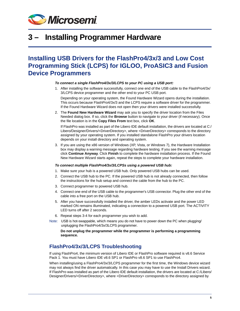

## <span id="page-4-0"></span>**3 – Installing Programmer Hardware**

### <span id="page-4-2"></span><span id="page-4-1"></span>**Installing USB Drivers for the FlashPro4/3x/3 and Low Cost Programming Stick (LCPS) for IGLOO, ProASIC3 and Fusion Device Programmers**

#### *To connect a single FlashPro4/3x/3/LCPS to your PC using a USB port:*

1. After installing the software successfully, connect one end of the USB cable to the FlashPro4/3x/ 3/LCPS device programmer and the other end to your PC USB port.

Depending on your operating system, the Found Hardware Wizard opens during the installation. This occurs because FlashPro4/3x/3 and the LCPS require a software driver for the programmer. If the Found Hardware Wizard does not open then your drivers were installed successfully.

2. The **Found New Hardware Wizard** may ask you to specify the driver location from the Files Needed dialog box. If so, click the **Browse** button to navigate to your driver (if necessary). Once the file location is in the **Copy Files From** text box, click **OK**.

If FlashPro was installed as part of the Libero IDE default installation, the drivers are located at C:/ Libero/Designer/Drivers/<DriverDirectory>, where <DriverDirectory> corresponds to the directory assigned by your operating system. If you installed standalone FlashPro your drivers location depends on your install directory and operating system.

3. If you are using the x86 version of Windows (XP, Vista, or Windows 7), the Hardware Installation box may display a warning message regarding hardware testing. If you see the warning message click **Continue Anyway**. Click **Finish** to complete the hardware installation process. If the Found New Hardware Wizard starts again, repeat the steps to complete your hardware installation.

#### *To connect multiple FlashPro4/3x/3/LCPSs using a powered USB hub:*

- 1. Make sure your hub is a powered USB hub. Only powered USB hubs can be used.
- 2. Connect the USB hub to the PC. If the powered USB hub is not already connected, then follow the instructions for the hub setup and connect the cable from the hub to the PC.
- 3. Connect programmer to powered USB hub.
- 4. Connect one end of the USB cable to the programmer's USB connector. Plug the other end of the cable into a free port on the USB hub.
- 5. After you have successfully installed the driver, the amber LEDs activate and the power LED marked ON remains illuminated, indicating a connection to a powered USB port. The ACTIVITY LED turns off after 2 seconds.
- 6. Repeat steps 3-4 for each programmer you wish to add.
- Note: USB is hot-swappable, which means you do not have to power down the PC when plugging/ unplugging the FlashPro4/3x/3LCPS programmer.

**Do not unplug the programmer while the programmer is performing a programming sequence.**

#### **FlashPro4/3x/3/LCPS Troubleshooting**

If using FlashPro4, the minimum version of Libero IDE or FlashPro software required is v8.6 Service Pack 1. You must have Libero IDE v8.6 SP1 or FlashPro v8.6 SP1 to use FlashPro4.

When installing/using a FlashPro4/3x/3/LCPS programmer for the first time, the Windows device wizard may not always find the driver automatically. In this case you may have to use the Install Drivers wizard. If FlashPro was installed as part of the Libero IDE default installation, the drivers are located at C:/Libero/ Designer/Drivers/<DriverDirectory>, where <DriverDirectory> corresponds to the directory assigned by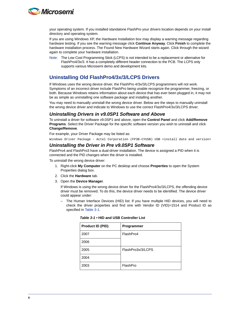

your operating system. If you installed standalone FlashPro your drivers location depends on your install directory and operating system.

If you are using Windows XP, the Hardware Installation box may display a warning message regarding hardware testing. If you see the warning message click **Continue Anyway**. Click **Finish** to complete the hardware installation process. The Found New Hardware Wizard starts again. Click through the wizard again to complete your hardware installation.

Note: The Low Cost Programming Stick (LCPS) is not intended to be a replacement or alternative for FlashPro4/3x/3. It has a completely different header connection to the PCB. The LCPS only supports various Microsemi demo and development kits.

#### **Uninstalling Old FlashPro4/3x/3/LCPS Drivers**

If Windows uses the wrong device driver, the FlashPro 4/3x/3/LCPS programmers will not work. Symptoms of an incorrect driver include FlashPro being unable recognize the programmer, freezing, or both. Because Windows retains information about each device that has ever been plugged in, it may not be as simple as uninstalling one software package and installing another.

You may need to manually uninstall the wrong device driver. Below are the steps to manually uninstall the wrong device driver and indicate to Windows to use the correct FlashPro4/3x/3/LCPS driver.

#### *Uninstalling Drivers in v9.0SP1 Software and Above*

To uninstall a driver for software v9.0SP1 and above, open the **Control Panel** and click **Add/Remove Programs**. Select the Driver Package for the specific software version you wish to uninstall and click **Change/Remove**.

For example, your Driver Package may be listed as:

Windows Driver Package - Actel Corporation (FP3B-CYUSB) USB <install date and version>

#### *Uninstalling the Driver in Pre v9.0SP1 Software*

FlashPro4 and FlashPro3 have a dual-driver installation. The device is assigned a PID when it is connected and the PID changes when the driver is installed.

To uninstall the wrong device driver:

- 1. Right-click **My Computer** on the PC desktop and choose **Properties** to open the System Properties dialog box.
- 2. Click the **Hardware** tab.
- 3. Open the **Device Manager**.

If Windows is using the wrong device driver for the FlashPro4/3x/3/LCPS, the offending device driver must be removed. To do this, the device driver needs to be identified. The device driver could appear under:

– The Human Interface Devices (HID) list: If you have multiple HID devices, you will need to check the driver properties and find one with Vendor ID (VID)=1514 and Product ID as specified in [Table 3-1.](#page-5-0)

| Product ID (PID) | Programmer        |
|------------------|-------------------|
| 2007             | FlashPro4         |
| 2006             |                   |
| 2005             | FlashPro3x/3/LCPS |
| 2004             |                   |
| 2003             | FlashPro          |

<span id="page-5-0"></span>

|  |  |  | Table 3-1 • HID and USB Controller List |  |
|--|--|--|-----------------------------------------|--|
|--|--|--|-----------------------------------------|--|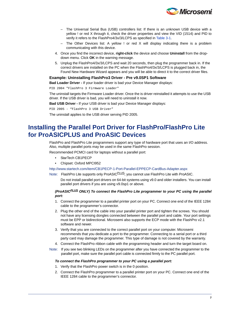

- The Universal Serial Bus (USB) controllers list: If there is an unknown USB device with a yellow ! or red X through it, check the driver properties and view the VID (1514) and PID to verify it refers to the FlashPro4/3x/3/LCPS as specified in [Table 3-1.](#page-5-0)
- The Other Devices list: A yellow ! or red X will display indicating there is a problem communicating with this device.
- 4. Once you find the incorrect device, **right-click** the device and choose **Uninstall** from the dropdown menu. Click **OK** in the warning message.
- 5. Unplug the FlashPro4/3x/3/LCPS and wait 20 seconds, then plug the programmer back in. If the correct drivers are installed on the PC when the FlashPro4/3x/3/LCPS is plugged back in, the Found New Hardware Wizard appears and you will be able to direct it to the correct driver files.

#### **Example: Uninstalling FlashPro3 Driver - Pre v9.0SP1 Software**

**Bad Loader Driver -** If your loader driver is bad your Device Manager displays:

PID 2004 "FlashPro 3 Firmware Loader"

The uninstall targets the Firmware Loader driver. Once the is driver reinstalled it attempts to use the USB driver. If the USB driver is bad, you will need to uninstall it now.

**Bad USB Driver -** If your USB driver is bad your Device Manager displays:

PID 2005 - "FlashPro 3 USB Driver"

The uninstall applies to the USB driver serving PID 2005.

### <span id="page-6-0"></span>**Installing the Parallel Port Driver for FlashPro/FlashPro Lite for ProASICPLUS and ProASIC Devices**

FlashPro and FlashPro Lite programmers support any type of hardware port that uses an I/O address. Also, multiple parallel ports may be used in the same FlashPro session.

Recommended PCMCI card for laptops without a parallel port:

- StarTech CB1PECP
- Chipset: Oxford MPCI952

[http://www.startech.com/item/CB1PECP-1-Port-Parallel-EPPECP-CardBus-Adapter.aspx](StarTech CB1PECP
Chipset: Oxford MPCI952
http://www.startech.com/item/CB1PECP-1-Port-Parallel-EPPECP-CardBus-Adapter.aspx
)

Note: FlashPro Lite supports only ProASICPLUS; you cannot use FlashPro Lite with ProASIC.

Do not install parallel port drivers on 64-bit systems using v9.0 and older installers. You can install parallel port drivers if you are using v9.0sp1 or above.

#### *(ProASICPLUS ONLY) To connect the FlashPro Lite programmer to your PC using the parallel port:*

- 1. Connect the programmer to a parallel printer port on your PC. Connect one end of the IEEE 1284 cable to the programmer's connector.
- 2. Plug the other end of the cable into your parallel printer port and tighten the screws. You should not have any licensing dongles connected between the parallel port and cable. Your port settings must be EPP or bidirectional. Microsemi also supports the ECP mode with the FlashPro v2.1 software and newer.
- 3. Verify that you are connected to the correct parallel port on your computer. Microsemi recommends that you dedicate a port to the programmer. Connecting to a serial port or a third party card may damage the programmer. This type of damage is not covered by the warranty.
- 4. Connect the FlashPro ribbon cable with the programming header and turn the target board on.
- Note: If you see two blinking LEDs on the programmer after you have connected the programmer to the parallel port, make sure the parallel port cable is connected firmly to the PC parallel port.

#### *To connect the FlashPro programmer to your PC using a parallel port:*

- 1. Verify that the FlashPro power switch is in the 0 position.
- 2. Connect the FlashPro programmer to a parallel printer port on your PC. Connect one end of the IEEE 1284 cable to the programmer's connector.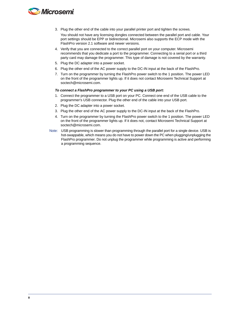

- 3. Plug the other end of the cable into your parallel printer port and tighten the screws. You should not have any licensing dongles connected between the parallel port and cable. Your port settings should be EPP or bidirectional. Microsemi also supports the ECP mode with the FlashPro version 2.1 software and newer versions.
- 4. Verify that you are connected to the correct parallel port on your computer. Microsemi recommends that you dedicate a port to the programmer. Connecting to a serial port or a third party card may damage the programmer. This type of damage is not covered by the warranty.
- 5. Plug the DC adapter into a power socket.
- 6. Plug the other end of the AC power supply to the DC-IN input at the back of the FlashPro.
- 7. Turn on the programmer by turning the FlashPro power switch to the 1 position. The power LED on the front of the programmer lights up. If it does not contact Microsemi Technical Support at soctech@microsemi.com.

#### *To connect a FlashPro programmer to your PC using a USB port:*

- 1. Connect the programmer to a USB port on your PC. Connect one end of the USB cable to the programmer's USB connector. Plug the other end of the cable into your USB port.
- 2. Plug the DC adapter into a power socket.
- 3. Plug the other end of the AC power supply to the DC-IN input at the back of the FlashPro.
- 4. Turn on the programmer by turning the FlashPro power switch to the 1 position. The power LED on the front of the programmer lights up. If it does not, contact Microsemi Technical Support at soctech@microsemi.com.
- Note: USB programming is slower than programming through the parallel port for a single device. USB is hot-swappable, which means you do not have to power down the PC when plugging/unplugging the FlashPro programmer. Do not unplug the programmer while programming is active and performing a programming sequence.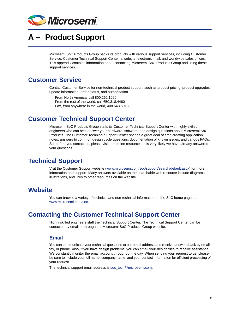

# <span id="page-8-0"></span>**A – Product Support**

Microsemi SoC Products Group backs its products with various support services, including Customer Service, Customer Technical Support Center, a website, electronic mail, and worldwide sales offices. This appendix contains information about contacting Microsemi SoC Products Group and using these support services.

### <span id="page-8-1"></span>**Customer Service**

Contact Customer Service for non-technical product support, such as product pricing, product upgrades, update information, order status, and authorization.

From North America, call 800.262.1060 From the rest of the world, call 650.318.4460 Fax, from anywhere in the world, 408.643.6913

### <span id="page-8-2"></span>**Customer Technical Support Center**

Microsemi SoC Products Group staffs its Customer Technical Support Center with highly skilled engineers who can help answer your hardware, software, and design questions about Microsemi SoC Products. The Customer Technical Support Center spends a great deal of time creating application notes, answers to common design cycle questions, documentation of known issues, and various FAQs. So, before you contact us, please visit our online resources. It is very likely we have already answered your questions.

### <span id="page-8-3"></span>**Technical Support**

Visit the Customer Support website ([www.microsemi.com/soc/support/search/default.aspx\)](http://www.microsemi.com/soc/support/search/default.aspx) for more information and support. Many answers available on the searchable web resource include diagrams, illustrations, and links to other resources on the website.

### <span id="page-8-4"></span>**Website**

You can browse a variety of technical and non-technical information on the SoC home page, at [www.microsemi.com/soc](http://www.microsemi.com/soc).

### <span id="page-8-5"></span>**Contacting the Customer Technical Support Center**

Highly skilled engineers staff the Technical Support Center. The Technical Support Center can be contacted by email or through the Microsemi SoC Products Group website.

#### **Email**

You can communicate your technical questions to our email address and receive answers back by email, fax, or phone. Also, if you have design problems, you can email your design files to receive assistance. We constantly monitor the email account throughout the day. When sending your request to us, please be sure to include your full name, company name, and your contact information for efficient processing of your request.

The technical support email address is [soc\\_tech@microsemi.com](mailto:soc_tech@microsemi.com).